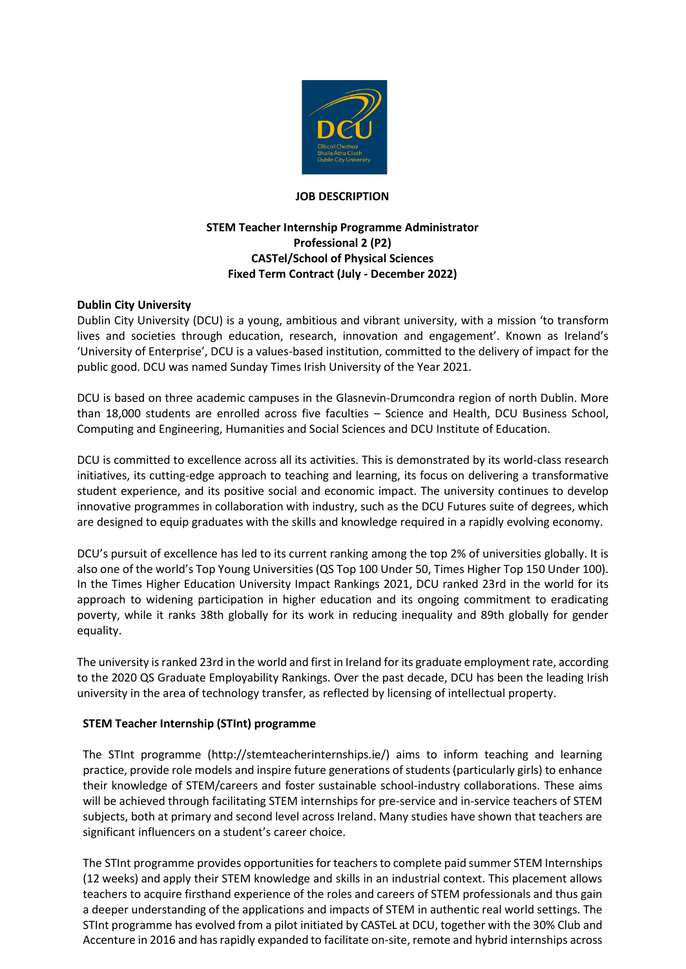

### **JOB DESCRIPTION**

## **STEM Teacher Internship Programme Administrator Professional 2 (P2) CASTel/School of Physical Sciences Fixed Term Contract (July - December 2022)**

## **Dublin City University**

Dublin City University (DCU) is a young, ambitious and vibrant university, with a mission 'to transform lives and societies through education, research, innovation and engagement'. Known as Ireland's 'University of Enterprise', DCU is a values-based institution, committed to the delivery of impact for the public good. DCU was named Sunday Times Irish University of the Year 2021.

DCU is based on three academic campuses in the Glasnevin-Drumcondra region of north Dublin. More than 18,000 students are enrolled across five faculties – Science and Health, DCU Business School, Computing and Engineering, Humanities and Social Sciences and DCU Institute of Education.

DCU is committed to excellence across all its activities. This is demonstrated by its world-class research initiatives, its cutting-edge approach to teaching and learning, its focus on delivering a transformative student experience, and its positive social and economic impact. The university continues to develop innovative programmes in collaboration with industry, such as the DCU Futures suite of degrees, which are designed to equip graduates with the skills and knowledge required in a rapidly evolving economy.

DCU's pursuit of excellence has led to its current ranking among the top 2% of universities globally. It is also one of the world's Top Young Universities (QS Top 100 Under 50, Times Higher Top 150 Under 100). In the Times Higher Education University Impact Rankings 2021, DCU ranked 23rd in the world for its approach to widening participation in higher education and its ongoing commitment to eradicating poverty, while it ranks 38th globally for its work in reducing inequality and 89th globally for gender equality.

The university is ranked 23rd in the world and first in Ireland for its graduate employment rate, according to the 2020 QS Graduate Employability Rankings. Over the past decade, DCU has been the leading Irish university in the area of technology transfer, as reflected by licensing of intellectual property.

#### **STEM Teacher Internship (STInt) programme**

The STInt programme [\(http://stemteacherinternships.ie/\) a](http://stemteacherinternships.ie/))ims to inform teaching and learning practice, provide role models and inspire future generations of students (particularly girls) to enhance their knowledge of STEM/careers and foster sustainable school-industry collaborations. These aims will be achieved through facilitating STEM internships for pre-service and in-service teachers of STEM subjects, both at primary and second level across Ireland. Many studies have shown that teachers are significant influencers on a student's career choice.

The STInt programme provides opportunities for teachers to complete paid summer STEM Internships (12 weeks) and apply their STEM knowledge and skills in an industrial context. This placement allows teachers to acquire firsthand experience of the roles and careers of STEM professionals and thus gain a deeper understanding of the applications and impacts of STEM in authentic real world settings. The STInt programme has evolved from a pilot initiated by CASTeL at DCU, together with the 30% Club and Accenture in 2016 and has rapidly expanded to facilitate on-site, remote and hybrid internships across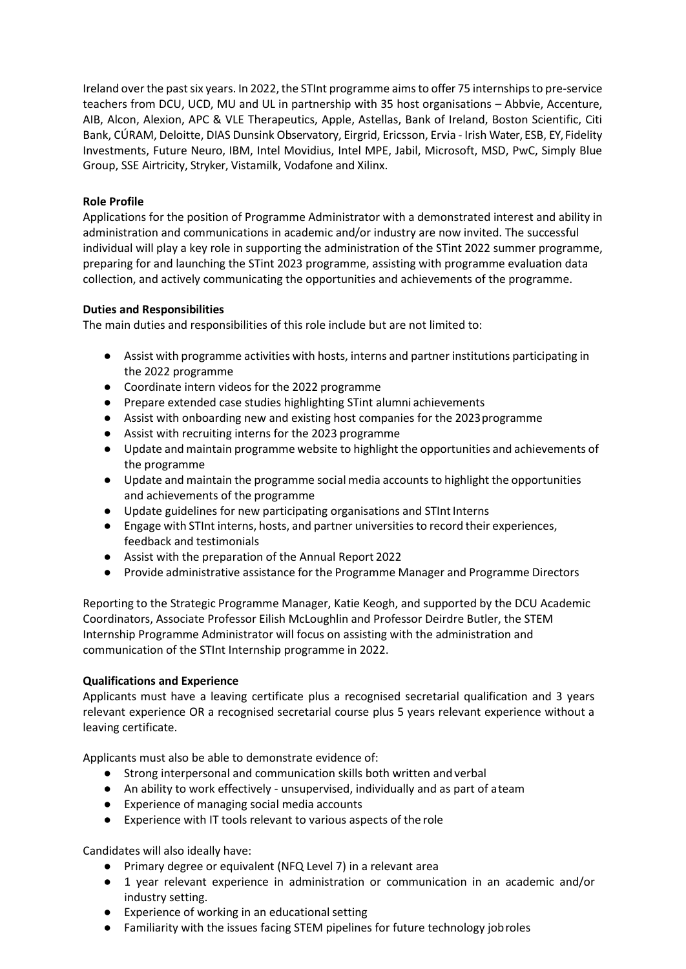Ireland over the past six years. In 2022, the STInt programme aims to offer 75 internships to pre-service teachers from DCU, UCD, MU and UL in partnership with 35 host organisations – Abbvie, Accenture, AIB, Alcon, Alexion, APC & VLE Therapeutics, Apple, Astellas, Bank of Ireland, Boston Scientific, Citi Bank, CÚRAM, Deloitte, DIAS Dunsink Observatory, Eirgrid, Ericsson, Ervia - Irish Water, ESB, EY, Fidelity Investments, Future Neuro, IBM, Intel Movidius, Intel MPE, Jabil, Microsoft, MSD, PwC, Simply Blue Group, SSE Airtricity, Stryker, Vistamilk, Vodafone and Xilinx.

# **Role Profile**

Applications for the position of Programme Administrator with a demonstrated interest and ability in administration and communications in academic and/or industry are now invited. The successful individual will play a key role in supporting the administration of the STint 2022 summer programme, preparing for and launching the STint 2023 programme, assisting with programme evaluation data collection, and actively communicating the opportunities and achievements of the programme.

## **Duties and Responsibilities**

The main duties and responsibilities of this role include but are not limited to:

- Assist with programme activities with hosts, interns and partner institutions participating in the 2022 programme
- Coordinate intern videos for the 2022 programme
- Prepare extended case studies highlighting STint alumni achievements
- Assist with onboarding new and existing host companies for the 2023programme
- Assist with recruiting interns for the 2023 programme
- Update and maintain programme website to highlight the opportunities and achievements of the programme
- Update and maintain the programme social media accounts to highlight the opportunities and achievements of the programme
- Update guidelines for new participating organisations and STInt Interns
- Engage with STInt interns, hosts, and partner universities to record their experiences, feedback and testimonials
- Assist with the preparation of the Annual Report 2022
- Provide administrative assistance for the Programme Manager and Programme Directors

Reporting to the Strategic Programme Manager, Katie Keogh, and supported by the DCU Academic Coordinators, Associate Professor Eilish McLoughlin and Professor Deirdre Butler, the STEM Internship Programme Administrator will focus on assisting with the administration and communication of the STInt Internship programme in 2022.

## **Qualifications and Experience**

Applicants must have a leaving certificate plus a recognised secretarial qualification and 3 years relevant experience OR a recognised secretarial course plus 5 years relevant experience without a leaving certificate.

Applicants must also be able to demonstrate evidence of:

- Strong interpersonal and communication skills both written and verbal
- An ability to work effectively unsupervised, individually and as part of ateam
- Experience of managing social media accounts
- Experience with IT tools relevant to various aspects of the role

Candidates will also ideally have:

- Primary degree or equivalent (NFQ Level 7) in a relevant area
- 1 year relevant experience in administration or communication in an academic and/or industry setting.
- Experience of working in an educational setting
- Familiarity with the issues facing STEM pipelines for future technology jobroles